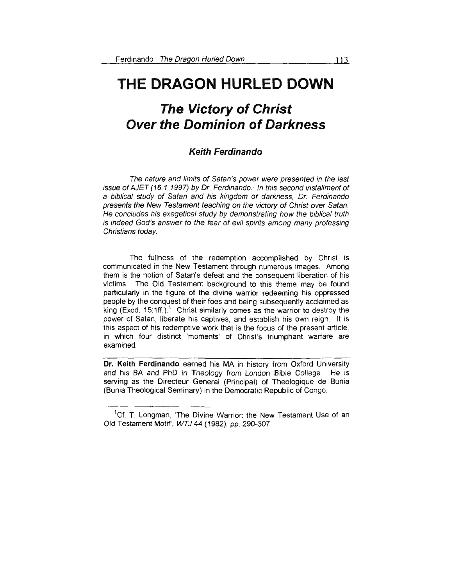# **THE DRAGON HURLED DOWN**

# **The Victory of Christ Over the Dominion of Darkness**

## **Keith Ferdinando**

The nature and limits of Satan's power were presented in the last issue of AJET (16.1 1997) by Dr. Ferdinando. In this second installment of a biblical study of Satan and his kingdom of darkness, Or. Ferdinando presents the New Testament teaching on the victory of Christ over Satan. He concludes his exegetical study by demonstrating how the biblical truth is indeed God's answer to the fear of evil spirits among many professing Christians today.

The fullness of the redemption accomplished by Christ is communicated in the New Testament through numerous images. Among them is the notion of Satan's defeat and the consequent liberation of his victims. The Old Testament background to this theme may be found particularly in the figure of the divine warrior redeeming his oppressed people by the conquest of their foes and being subsequently acclaimed as king (Exod. 15:1ff.).<sup>1</sup> Christ similarly comes as the warrior to destroy the power of Satan, liberate his captives, and establish his own reign. lt is this aspect of his redemptive work that is the focus of the present article, in which four distinct 'moments' of Christ's triumphant warfare are examined.

**Dr. Keith Ferdinando** earned his MA in history from Oxford University and his BA and PhD in Theology from London Bible College. He is serving as the Directeur General (Principal) of Theologique de Bunia (Bunia Theological Seminary) in the Democratic Republic of Congo.

<sup>&</sup>lt;sup>1</sup>Cf. T. Longman, 'The Divine Warrior: the New Testament Use of an Old Testament Motif, WTJ 44 (1982), pp. 290-307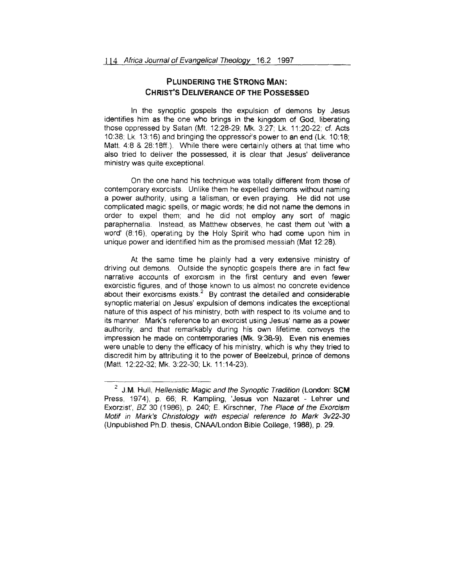## **PLUNDERING THE STRONG MAN: CHRIST'S DELIVERANCE OF THE POSSESSED**

In the synoptic gospels the expulsion of demons by Jesus identifies him as the one who brings in the kingdom of God, liberating those oppressed by Satan (Mt. 12:28-29; Mk. 3:27; Lk. 11 :20-22; cf. Acts 10:38; Lk. 13:16) and bringing the oppressor's power to an end (Lk. 10:18; Matt. 4:8 & 28:18ff.). While there were certainly others at that time who also tried to deliver the possessed, it is clear that Jesus' deliverance ministry was quite exceptional.

On the one hand his technique was totally different from those of contemporary exorcists. Unlike them he expelled demons without naming a power authority, using a talisman, or even praying. He did not use complicated magic spells, or magic words; he did not name the demons in order to expel them; and he did not employ any sort of magic paraphernalia. Instead, as Matthew observes, he cast them out 'with a word' (8:16), operating by the Holy Spirit who had come upon him in unique power and identified him as the promised messiah (Mat 12:28).

At the same time he plainly had a very extensive ministry of driving out demons. Outside the synoptic gospels there are in fact few narrative accounts of exorcism in the first century and even fewer exorcistic figures, and of those known to us almost no concrete evidence about their exorcisms exists.<sup>2</sup> By contrast the detailed and considerable synoptic material on Jesus' expulsion of demons indicates the exceptional nature of this aspect of his ministry, both with respect to its volume and to its manner Mark's reference to an exorcist using Jesus' name as a power authority, and that remarkably during his own lifetime. conveys the impression he made on contemporaries (Mk. 9:3a-9). Even nis enemies were unable to deny the efficacy of his ministry, which is why they tried to discredit him by attributing it to the power of Beelzebul, prince of demons (Matt. 12:22-32; Mk. 3:22-30; Lk. 11: 14-23).

<sup>2</sup> J.M. Hull, Hellenistic Magic and the Synoptic Tradition (London: **SCM**  Press, 1974), p. 66; R. Kampling, 'Jesus von Nazaret - Lehrer und Exorzist', BZ 30 (1986}, p. 240; E. Kirschner, The Place of the Exorcism Motif in Mark's Christology with especial reference to Mark 3v22-30 (Unpublished Ph.D. thesis, CNAA/London Bible College, 1988), p. 29.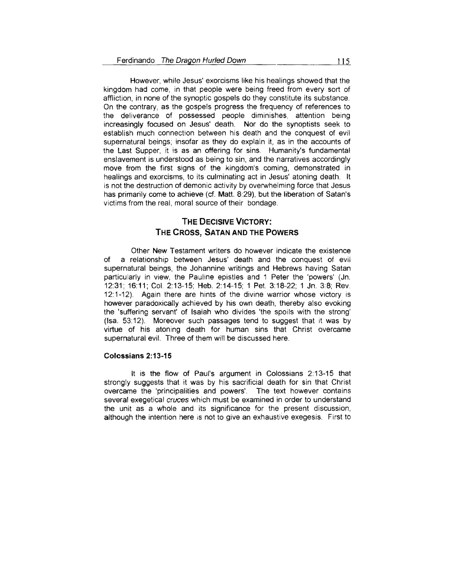However, while Jesus' exorcisms like his healings showed that the kingdom had come, in that people were being freed from every sort of affliction, in none of the synoptic gospels do they constitute its substance. On the contrary, as the gospels progress the frequency of references to the deliverance of possessed people diminishes, attention being increasingly focused on Jesus' death. Nor do the synoptists seek to establish much connection between his death and the conquest of evil supernatural beings; insofar as they do explain it, as in the accounts of the Last Supper, it is as an offering for sins. Humanity's fundamental enslavement is understood as being to sin, and the narratives accordingly move from the first signs of the kingdom's coming, demonstrated in healings and exorcisms, to its culminating act in Jesus' atoning death. lt is not the destruction of demonic activity by overwhelming force that Jesus has primarily come to achieve (cf. Matt. 8:29), but the liberation of Satan's victims from the real, moral source of their bondage.

# **THE DECISIVE VICTORY: THE CROSS, SATAN AND THE POWERS**

Other New Testament writers do however indicate the existence of a relationship between Jesus' death and the conquest of evil supernatural beings, the Johannine writings and Hebrews having Satan particularly in view, the Pauline epistles and 1 Peter the 'powers' (Jn. 12:31 ; 16:11; Col. 2:13-15; Heb. 2:14-15; 1 Pet. 3:18-22; 1 Jn. 3:8; Rev. 12: 1-12). Again there are hints of the divine warrior whose victory is however paradoxically achieved by his own death, thereby also evoking the 'suffering servant' of Isaiah who divides 'the spoils with the strong' (lsa\_ 53:12). Moreover such passages tend to suggest that it was by virtue of his atoning death for human sins that Christ overcame supernatural evil. Three of them will be discussed here.

#### **Colossians 2:13-15**

lt is the flow of Paul's argument in Colossians 2:13-15 that strongly suggests that it was by his sacrificial death for sin that Christ overcame the 'principalities and powers'. The text however contains several exegetical cruces which must be examined in order to understand the unit as a whole and its significance for the present discussion, although the intention here is not to give an exhaustive exegesis. First to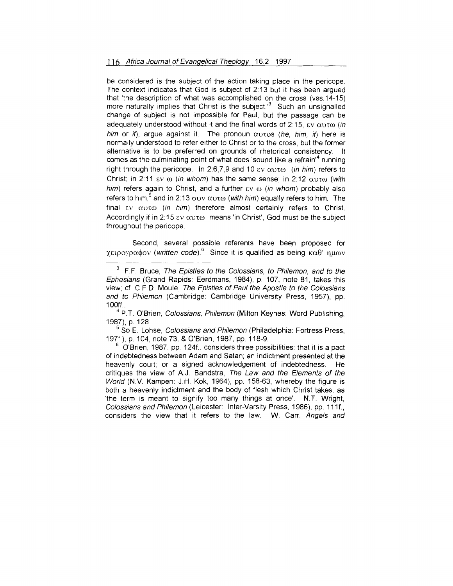be considered is the subject of the action taking place in the pericope. The context indicates that God is subject of 2: 13 but it has been argued that 'the description of what was accomplished on the cross (vss.14-15) more naturally implies that Christ is the subject. $3$  Such an unsignalled change of subject is not impossible for Paul, but the passage can be adequately understood without it and the final words of 2:15,  $\epsilon v$   $\alpha v \tau \omega$  (in him or it), argue against it. The pronoun  $\alpha$  to  $s$  (he, him, it) here is normally understood to refer either to Christ or to the cross, but the former alternative is to be preferred on grounds of rhetorical consistency. lt comes as the culminating point of what does 'sound like a refrain'4 running right through the pericope. In 2:6,7,9 and 10  $\epsilon$ v  $\alpha$  $\alpha$ ro (in him) refers to Christ; in 2:11  $\epsilon v$   $\omega$  (in whom) has the same sense; in 2:12  $\alpha$ v $\tau \omega$  (with him) refers again to Christ, and a further  $\epsilon v \omega$  (in whom) probably also refers to him;<sup>5</sup> and in 2:13  $\sigma$ uv  $\alpha$ uto (with him) equally refers to him. The final  $\epsilon v$   $\alpha v \tau \omega$  (in him) therefore almost certainly refers to Christ. Accordingly if in 2:15  $\epsilon$ y  $\alpha$ ut $\omega$  means 'in Christ'. God must be the subject throughout the pericope.

Second, several possible referents have been proposed for  $\gamma$ ειρογραφον (written code).<sup>6</sup> Since it is qualified as being καθ' nuων

 $5$  So E. Lohse, *Colossians and Philemon* (Philadelphia: Fortress Press, 1971), p. 104, note 73, & O'Brien, 1987, pp. 118-9.

 $6$  O'Brien, 1987, pp. 124f., considers three possibilities: that it is a pact of indebtedness between Adam and Satan; an indictment presented at the heavenly court; or a signed acknowledgement of indebtedness. He critiques the view of A.J. Bandstra, The Law and the Elements of the World (N.V. Kampen: J.H. Kok, 1964), pp. 158-63, whereby the figure is both a heavenly indictment and the body of flesh which Christ takes, as 'the term is meant to signify too many things at once'. N.T. Wright, Colossians and Philemon (Leicester: Inter-Varsity Press, 1986), pp. 111f., considers the view that it refers to the law. W. Carr, Angels and

 $3$  F.F. Bruce, The Epistles to the Colossians, to Philemon, and to the Ephesians (Grand Rapids: Eerdmans, 1984), p. 107, note 81, takes this view; cf C.F D. Moule, The Epistles of Paul the Apostle to the Colossians and to Philemon (Cambridge: Cambridge University Press, 1957), pp.

<sup>100</sup>ff..<br><sup>4</sup> P.T. O'Brien, *Colossians, Philemon* (Milton Keynes: Word Publishing, 1987), p. 128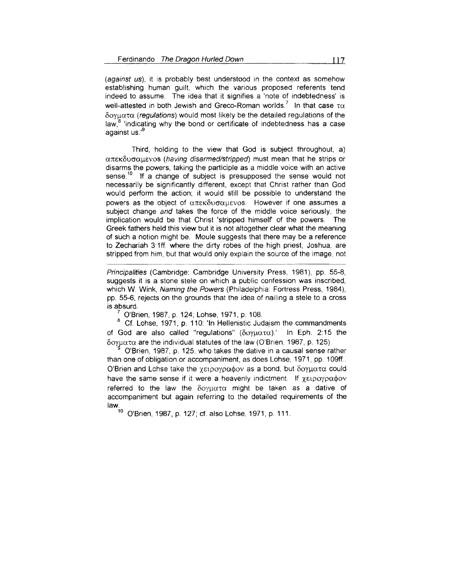(against us), it is probably best understood in the context as somehow establishing human guilt, which the various proposed referents tend indeed to assume. The idea that it signifies a 'note of indebtedness' is well-attested in both Jewish and Greco-Roman worlds.<sup>7</sup> In that case  $\tau\alpha$  $\delta$ oyu $\alpha$  (regulations) would most likely be the detailed regulations of the law, <sup>8</sup>'indicating why the bond or certificate of indebtedness has a case against us. ' 9

Third, holding to the view that God is subject throughout, a)  $απεκδυσαμενοs (having disarmed/stripped) must mean that he strips or$ disarms the powers, taking the participle as a middle voice with an active sense.<sup>10</sup> If a change of subject is presupposed the sense would not necessarily be significantly different, except that Christ rather than God would perform the action; it would still be possible to understand the powers as the object of  $\alpha \pi \epsilon \kappa \delta v \sigma \alpha \mu \epsilon v \delta v$ . However if one assumes a subject change and takes the force of the middle voice seriously, the implication would be that Christ 'stripped himself of the powers. The Greek fathers held this view but it is not altogether clear what the meaning of such a notion might be. Moule suggests that there may be a reference to Zechariah 3:1ff. where the dirty robes of the high priest, Joshua, are stripped from him, but that would only explain the source of the image, not

Principalities (Cambridge: Cambridge University Press, 1981), pp. 55-8, suggests it is a stone stele on which a public confession was inscribed, which W. Wink, Naming the Powers (Philadelphia: Fortress Press, 1984), pp. 55-6, rejects on the grounds that the idea of nailing a stele to a cross

is absurd.<br><sup>7</sup> O'Brien, 1987, p. 124; Lohse, 1971, p. 108.<br><sup>8</sup> Cf. Lohse, 1971, p. 110: 'In Hellenistic Judaism the commandments of God are also called "regulations" ( $\delta$ oyu $\alpha$ τ $\alpha$ ).' In Eph. 2:15 the  $δ$ ογματα are the individual statutes of the law (O'Brien, 1987, p. 125).

O'Brien, 1987, p. 125, who takes the dative in a causal sense rather than one of obligation or accompaniment, as does Lohse, 1971, pp. 109ff.. O'Brien and Lohse take the  $\chi$ ειρογραφον as a bond, but δογματα could have the same sense if it were a heavenly indictment. If  $\gamma \epsilon_1 \rho_2 \rho_3 \rho_4$ referred to the law the  $\delta$ oyu $\alpha \tau \alpha$  might be taken as a dative of accompaniment but again referring to the detailed requirements of the  $\lim_{i=1}^{L}$ 

0'Brien, 1987, p. 127; cf. also Lohse, 1971, p. 111.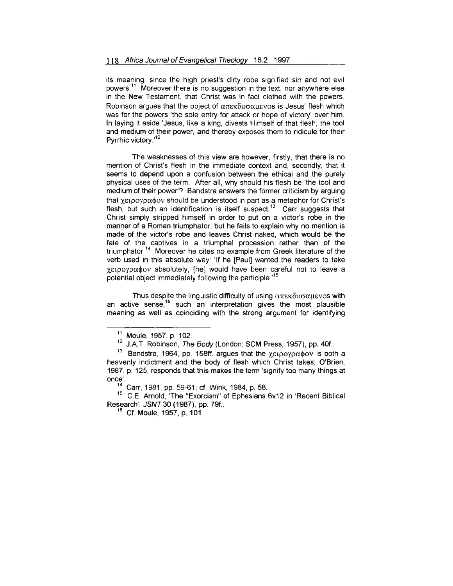its meaning, since the high priest's dirty robe signified sin and not evil powers.<sup>11</sup> Moreover there is no suggestion in the text, nor anywhere else in the New Testament, that Christ was in fact clothed with the powers. Robinson argues that the object of  $\alpha\pi\epsilon\kappa\delta\nu\sigma\alpha\mu\epsilon\nu\text{cos}$  is Jesus' flesh which was for the powers 'the sole entry for attack or hope of victory' over him. In laying it aside 'Jesus, like a king, divests Himself of that flesh, the tool and medium of their power, and thereby exposes them to ridicule for their Pyrrhic victory.<sup>12</sup>

The weaknesses of this view are however, firstly, that there is no mention of Christ's flesh in the immediate context and, secondly, that it seems to depend upon a confusion between the ethical and the purely physical uses of the term. After all, why should his flesh be 'the tool and medium of their power'? Bandstra answers the former criticism by arguing that χειρογραφον should be understood in part as a metaphor for Christ's flesh, but such an identification is itself suspect.<sup>13</sup> Carr suggests that Christ simply stripped himself in order to put on a victor's robe in the manner of a Roman triumphator, but he fails to explain why no mention is made of the victor's robe and leaves Christ naked, which would be the fate of the captives in a triumphal procession rather than of the triumphator.<sup>14</sup> Moreover he cites no example from Greek literature of the verb used in this absolute way: 'If he [Paul] wanted the readers to take  $\gamma$ ειρογραφον absolutely, [he] would have been careful not to leave a potential object immediately following the participle.<sup>15</sup>

Thus despite the linguistic difficulty of using  $\alpha\pi\epsilon\kappa\delta\upsilon\sigma\alpha\mu\epsilon\upsilon$  os with an active sense,<sup>16</sup> such an interpretation gives the most plausible meaning as well as coinciding with the strong argument for identifying

 $^{11}$  Moule, 1957, p. 102.<br> $^{12}$  J.A.T. Robinson, *The Body* (London: SCM Press, 1957), pp. 40f..

 $13$  Bandstra, 1964, pp. 158ff. argues that the χειρογραφον is both a heavenly indictment and the body of flesh which Christ takes; O'Brien, 1987, p. 125, responds that this makes the term 'signify too many things at

once'.<br><sup>14</sup> Carr, 1981, pp. 59-61; cf. Wink, 1984, p. 58.<br><sup>15</sup> C.E. Arnold, 'The "Exorcism" of Ephesians 6v12 in 'Recent Biblical Research', JSNT 30 (1987), pp. 79f..<br><sup>16</sup> Cf. Moule, 1957, p. 101.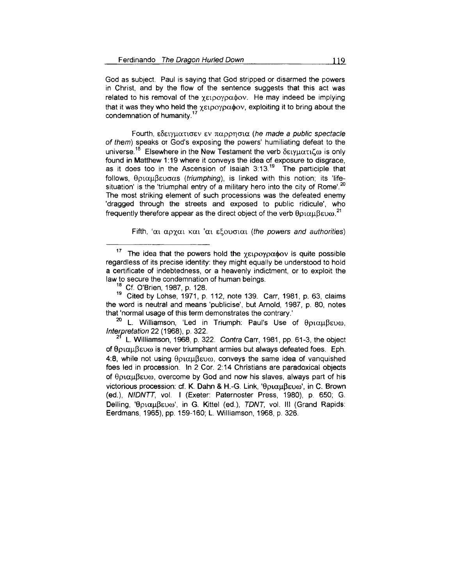God as subject. Paul is saying that God stripped or disarmed the powers in Christ, and by the flow of the sentence suggests that this act was related to his removal of the  $\chi_{\text{ELOOY}}$  $\alpha\phi$ ov. He may indeed be implying that it was they who held the  $\chi \epsilon_1$  poypa $\phi$ ov, exploiting it to bring about the condemnation of humanity. 17

Fourth,  $\epsilon$ δειγματισεν εν παρρησια (he made a public spectacle of them) speaks or God's exposing the powers' humiliating defeat to the universe.<sup>18</sup> Elsewhere in the New Testament the verb δειγματιζω is only found in Matthew 1:19 where it conveys the idea of exposure to disgrace. as it does too in the Ascension of Isaiah  $3:13<sup>19</sup>$ . The participle that  $follows,  $\theta$ ριαμβευσαs (triumphing), is linked with this notion; its 'life$ situation' is the 'triumphal entry of a military hero into the city of Rome'.<sup>20</sup> The most striking element of such processions was the defeated enemy 'dragged through the streets and exposed to public ridicule', who frequently therefore appear as the direct object of the verb  $\theta$ ptau $\beta$ ευω.<sup>21</sup>

Fifth, ' $\alpha_1$   $\alpha_2$   $\gamma \alpha_1$   $\kappa \alpha_1$  ' $\alpha_1$   $\epsilon$   $\epsilon$  outpoint (the powers and authorities)

law to secure the condemnation of human beings.<br><sup>18</sup> Cf. O'Brien, 1987, p. 128.<br><sup>19</sup> Cited by Lohse, 1971, p. 112, note 139. Carr, 1981, p. 63, claims the word is neutral and means 'publicise', but Arnold, 1987, p. 80, notes that 'normal usage of this term demonstrates the contrary.'

<sup>20</sup> L. Williamson, 'Led in Triumph: Paul's Use of θριαμβευω, Interpretation 22 (1968), p. 322.

 $2<sup>1</sup>$  L. Williamson, 1968, p. 322. Contra Carr, 1981, pp. 61-3, the object of θριαμ $\beta$ ευ $\omega$  is never triumphant armies but always defeated foes. Eph. 4:8, while not using  $\theta$ *pto* $\mu$  $\beta$ *<sub>E</sub>vo*, conveys the same idea of vanquished foes led in procession. In 2 Cor. 2:14 Christians are paradoxical objects of  $\theta$ *ptau* $\beta$ *ευω*, overcome by God and now his slaves, always part of his victorious procession: cf. K. Dahn & H.-G. Link, 'θριαμβευω', in C. Brown (ed.), NIDNTT, vol. I (Exeter: Paternoster Press, 1980), p. 650; G. Delling, 'θριαμβευω', in G. Kittel (ed.), TDNT, vol. III (Grand Rapids: Eerdmans, 1965), pp. 159-160; L. Williamson, 1968, p. 326.

<sup>&</sup>lt;sup>17</sup> The idea that the powers hold the  $\gamma \epsilon_1$  povoatov is quite possible regardless of its precise identity: they might equally be understood to hold a certificate of indebtedness, or a heavenly indictment, or to exploit the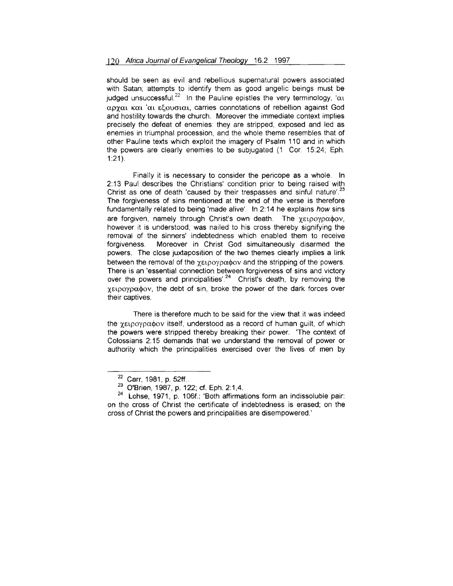should be seen as evil and rebellious supernatural powers associated with Satan; attempts to identify them as good angelic beings must be iudged unsuccessful.<sup>22</sup> In the Pauline epistles the very terminology, ' $\alpha_1$  $\alpha$  pxm Kat 'at eligyorm Karries connotations of rebellion against God and hostility towards the church. Moreover the immediate context implies precisely the defeat of enemies: they are stripped, exposed and led as enemies in triumphal procession, and the whole theme resembles that of other Pauline texts which exploit the imagery of Psalm 110 and in which the powers are clearly enemies to be subjugated (1 Cor. 15:24; Eph.  $1:21$ .

Finally it is necessary to consider the pericope as a whole. In 2:13 Paul describes the Christians' condition prior to being raised with Christ as one of death 'caused by their trespasses and sinful nature'.<sup>23</sup> The forgiveness of sins mentioned at the end of the verse is therefore fundamentally related to being 'made alive'. In 2:14 he explains how sins are forgiven, namely through Christ's own death. The  $\gamma \epsilon_1$  population, however it is understood, was nailed to his cross thereby signifying the removal of the sinners' indebtedness which enabled them to receive forgiveness. Moreover in Christ God simultaneously disarmed the powers. The close juxtaposition of the two themes clearly implies a link between the removal of the  $\chi_{\text{E1}}$  poypadov and the stripping of the powers. There is an 'essential connection between forgiveness of sins and victory over the powers and principalities' <sup>24</sup> Christ's death, by removing the  $\gamma$ ειρογραφον, the debt of sin, broke the power of the dark forces over their captives.

There is therefore much to be said for the view that it was indeed the  $\gamma$ ειρογραφον itself, understood as a record of human quilt, of which the powers were stripped thereby breaking their power. 'The context of Colossians 2: 15 demands that we understand the removal of power or authority which the principalities exercised over the lives of men by

<sup>&</sup>lt;sup>22</sup> Carr, 1981, p. 52ff..<br><sup>23</sup> O'Brien, 1987, p. 122; cf. Eph. 2:1,4.<br><sup>24</sup> Lohse, 1971, p. 106f.: 'Both affirmations form an indissoluble pair: on the cross of Christ the certificate of indebtedness is erased; on the cross of Christ the powers and principalities are disempowered.'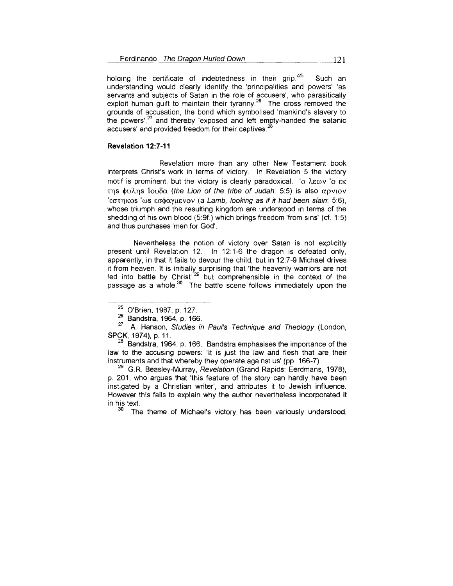holding the certificate of indebtedness in their grip.<sup>125</sup> Such an understanding would clearly identify the 'principalities and powers' 'as servants and subjects of Satan in the role of accusers', who parasitically exploit human quilt to maintain their tyranny.<sup>26</sup> The cross removed the grounds of accusation, the bond which symbolised 'mankind's slavery to  $\mu$  bands of decasation, the bond which symbolised manimia's slavery to her powers'  $^{27}$  and thereby 'exposed and left empty-handed the satanic accusers' and provided freedom for their captives.<sup>2</sup>

#### **Revelation 12:7-11**

Revelation more than any other New Testament book interprets Christ's work in terms of victory. In Revelation 5 the victory motif is prominent, but the victory is clearly paradoxical. 'o  $\lambda \epsilon \omega v$  'o  $\epsilon \kappa$ της φυλης Ιουδα (the Lion of the tribe of Judah: 5:5) is also αρνιον 'εστηκοs 'ωs εσφαγμενον (a Lamb, looking as if it had been slain: 5:6), whose triumph and the resulting kingdom are understood in terms of the shedding of his own blood (5:9f.) which brings freedom 'from sins' (cf. 1 :5) and thus purchases 'men for God'.

Nevertheless the notion of victory over Satan is not explicitly present until Revelation 12. In 12:1-6 the dragon is defeated only, apparently, in that it fails to devour the child, but in 12:7-9 Michael drives it from heaven. lt is initially surprising that 'the heavenly warriors are not  $\frac{1}{2}$  into battle by Christ<sup>'29</sup> but comprehensible in the context of the  $p_3$  as a whole  $30$ . The battle scene follows immediately upon the cases a whole  $30$ . The battle scene follows immediately upon the

<sup>&</sup>lt;sup>25</sup> O'Brien, 1987, p. 127.

 $26$  Bandstra, 1964, p. 166. 27<br>
27 A. Hanson, Studies in Paul's Technique and Theology (London,

SPCK, 1974), p. 11.<br><sup>28</sup> Bandstra, 1964, p. 166. Bandstra emphasises the importance of the law to the accusing powers: 'lt is just the law and flesh that are their instruments and that whereby they operate against us' (pp. 166-7).<br><sup>29</sup>G.R. Beasley-Murray, *Revelation* (Grand Rapids: Eerdmans, 1978),

p. 201, who argues that 'this feature of the story can hardly have been instigated by a Christian writer', and attributes it to Jewish influence. However this fails to explain why the author nevertheless incorporated it in his text.<br> $30$  The theme of Michael's victory has been variously understood.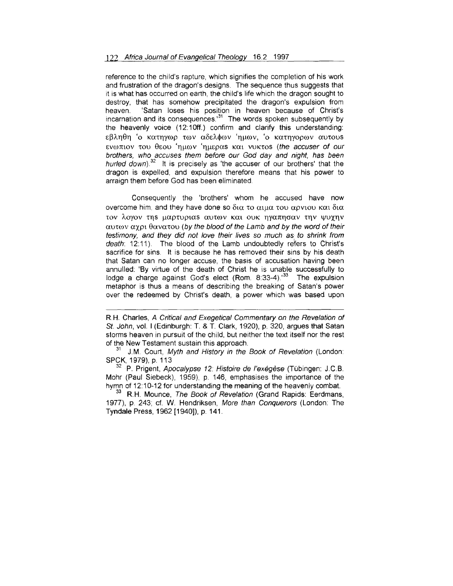reference to the child's rapture, which signifies the completion of his work and frustration of the dragon's designs. The sequence thus suggests that it is what has occurred on earth, the child's life which the dragon sought to destroy, that has somehow precipitated the dragon's expulsion from heaven. 'Satan loses his position in heaven because of Christ's incarnation and its consequences.<sup>31</sup> The words spoken subsequently by the heavenly voice (12:10ff.) confirm and clarify this understanding:  $\epsilon\beta\lambda\eta\theta\eta$  'ο κατηγωρ των αδελφων 'ημων, 'ο κατηγορων αυτουs ενωπιον του θεου 'ημων 'ημεραs και νυκτοs (the accuser of our brothers, who accuses them before our God day and night, has been hurled down).<sup>32</sup> It is precisely as 'the accuser of our brothers' that the dragon is expelled, and expulsion therefore means that his power to arraign them before God has been eliminated.

Consequently the 'brothers' whom he accused have now overcome him, and they have done so δια το αιμα του αρνιου και δια τον λογον της μαρτυριαs αυτων και ουκ ηγαπησαν την ψυχην  $\alpha$ ut $\alpha$  v  $\alpha$  y  $\alpha$   $\beta$   $\alpha$  v $\alpha$  to  $\alpha$  by the blood of the Lamb and by the word of their testimony, and they did not love their lives so much as to shrink from death: 12:11 ). The blood of the Lamb undoubtedly refers to Christ's sacrifice for sins. lt is because he has removed their sins by his death that Satan can no longer accuse, the basis of accusation having been annulled: 'By virtue of the death of Christ he is unable successfully to lodge a charge against God's elect (Rom. 8:33-4).<sup>33</sup> The expulsion metaphor is thus a means of describing the breaking of Satan's power over the redeemed by Christ's death, a power which was based upon

 $32$  P. Prigent, Apocalypse 12: Histoire de l'exégèse (Tübingen: J.C.B. Mohr (Paul Siebeck), 1959), p. 146, emphasises the importance of the hymn of 12:10-12 for understanding the meaning of the heavenly combat.

<sup>33</sup> R.H. Mounce, The Book of Revelation (Grand Rapids: Eerdmans, 1977), p. 243; cf. W. Hendriksen, More than Conquerors (London: The Tyndale Press, 1962 [1940]), p. 141 .

RH. Charles, A Critical and Exegetical Commentary on the Revelation of St. John, vol. I (Edinburgh: T. & T. Clark, 1920), p. 320, argues that Satan storms heaven in pursuit of the child, but neither the text itself nor the rest of the New Testament sustain this approach.

<sup>&</sup>lt;sup>31</sup> J.M. Court, Myth and History in the Book of Revelation (London: SPCK, 1979), p. 113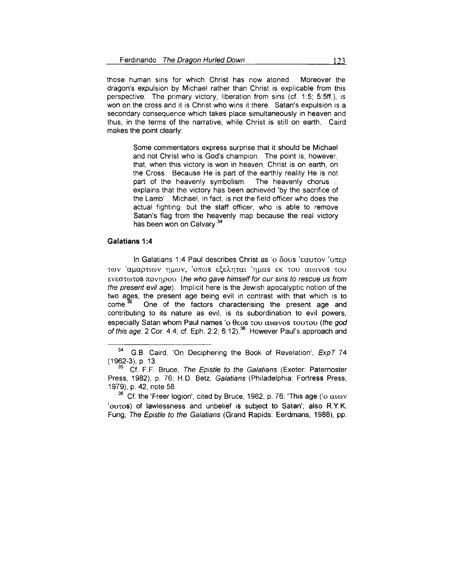those human sins for which Christ has now atoned. Moreover the dragon's expulsion by Michael rather than Christ is explicable from this perspective. The primary victory, liberation from sins (cf. 1 :5; 5:5ff.), is won on the cross and it is Christ who wins it there. Satan's expulsion is a secondary consequence which takes place simultaneously in heaven and thus, in the terms of the narrative, while Christ is still on earth. Caird makes the point clearly:

> Some commentators express surprise that it should be Michael and not Christ who is God's champion. The point is, however, that, when this victory is won in heaven, Christ is on earth, on the Cross. Because He is part of the earthly reality He is not part of the heavenly symbolism. The heavenly chorus ... explains that the victory has been achieved 'by the sacrifice of the Lamb' .. Michael, in fact, is not the field officer who does the actual fighting, but the staff officer, who is able to remove Satan's flag from the heavenly map because the real victory has been won on Calvary. 34

### **Galatians 1 :4**

In Galatians 1:4 Paul describes Christ as 'o  $\delta$ ovs ' $\epsilon \alpha$ utov 'u $\pi \epsilon \rho$ των 'αμαρτιων ημων, 'οπωs εξεληται 'ημαs εκ του αιωνοs του  $\epsilon$ v $\epsilon$ στωτοs πονηρου (he who gave himself for our sins to rescue us from the present evil age). Implicit here is the Jewish apocalyptic notion of the two ages, the present age being evil in contrast with that which is to come.<sup>35</sup> One of the factors characterising the present age and One of the factors characterising the present age and contributing to its nature as evil, is its subordination to evil powers, especially Satan whom Paul names 'o  $\theta$  as  $\alpha$  to  $\alpha$  to  $\alpha$  to  $\alpha$  to  $\alpha$  (the god of this age: 2 Cor. 4:4; cf. Eph. 2:2; 6:12).<sup>36</sup> However Paul's approach and

 $34$  G.B. Caird, 'On Deciphering the Book of Revelation',  $ExpT$  74 ( 1962-3), p. 13.

<sup>&</sup>lt;sup>35</sup> Cf. F.F. Bruce, The Epistle to the Galatians (Exeter: Paternoster Press, 1982), p. 76; H.D. Betz, Galatians (Philadelphia: Fortress Press, 1979), p. 42, note 58.

<sup>&</sup>lt;sup>36</sup> Cf. the 'Freer logion', cited by Bruce, 1982, p. 76: 'This age ('o αιων 'outos) of lawlessness and unbelief is subject to Satan'; also R.Y.K. Fung, The Epistle to the Galatians (Grand Rapids: Eerdmans, 1988), pp.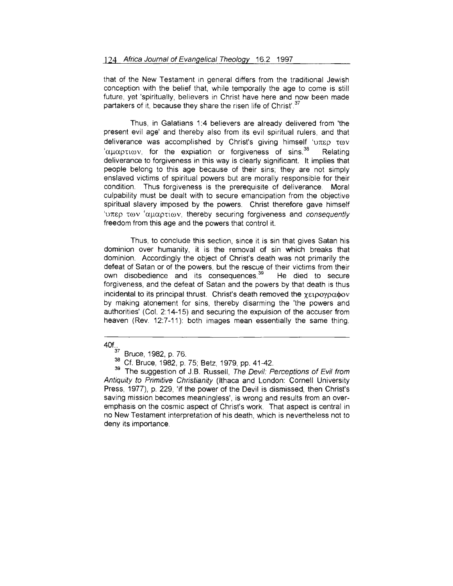that of the New Testament in general differs from the traditional Jewish conception with the belief that, while temporally the age to come is still future, yet 'spiritually, believers in Christ have here and now been made partakers of it, because they share the risen life of Christ'.<sup>37</sup>

Thus, in Galatians 1:4 believers are already delivered from 'the present evil age' and thereby also from its evil spiritual rulers, and that deliverance was accomplished by Christ's giving himself ' $v \pi \epsilon \rho \tau \omega v$ 'αμαρτιων, for the expiation or forgiveness of sins.<sup>38</sup> Relating deliverance to forgiveness in this way is clearly significant. lt implies that people belong to this age because of their sins; they are not simply enslaved victims of spiritual powers but are morally responsible for their condition. Thus forgiveness is the prerequisite of deliverance. Moral culpability must be dealt with to secure emancipation from the objective spiritual slavery imposed by the powers. Christ therefore gave himself 'unep to v 'auaptiov, thereby securing forgiveness and consequently freedom from this age and the powers that control it.

Thus, to conclude this section, since it is sin that gives Satan his dominion over humanity, it is the removal of sin which breaks that dominion. Accordingly the object of Christ's death was not primarily the defeat of Satan or of the powers, but the rescue of their victims from their own disobedience and its consequences.<sup>39</sup> He died to secure forgiveness, and the defeat of Satan and the powers by that death is thus incidental to its principal thrust. Christ's death removed the  $\gamma_{ELOOYO}\alpha\phi_{OV}$ by making atonement for sins, thereby disarming the 'the powers and authorities' (Col. 2: 14-15) and securing the expulsion of the accuser from heaven (Rev. 12:7-11): both images mean essentially the same thing.

<sup>40</sup>f.,  $37$  Bruce, 1982, p. 76.

<sup>38</sup> Cf. Bruce, 1982, p. 75; Betz, 1979, pp. 41-42.

<sup>&</sup>lt;sup>39</sup> The suggestion of J.B. Russell, The Devil: Perceptions of Evil from Antiquity to Primitive Christianity (Ithaca and London: Cornell University Press, 1977), p. 229, 'if the power of the Devil is dismissed, then Christ's saving mission becomes meaningless', is wrong and results from an overemphasis on the cosmic aspect of Christ's work. That aspect is central in no New Testament interpretation of his death, which is nevertheless not to deny its importance.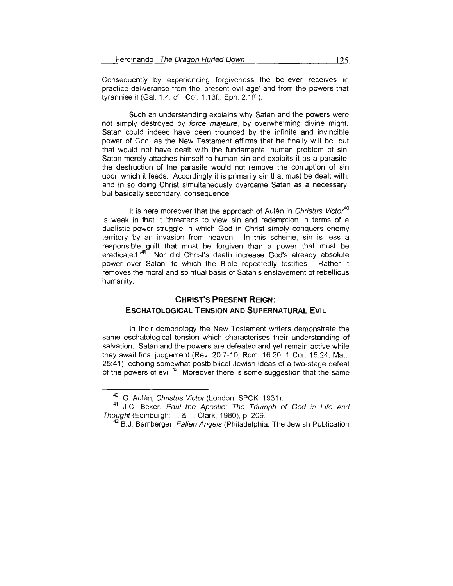Consequently by experiencing forgiveness the believer receives in practice deliverance from the 'present evil age' and from the powers that tyrannise it (Gal. 1:4; cf. Col. 1:13f.; Eph. 2:1ff.).

Such an understanding explains why Satan and the powers were not simply destroyed by force majeure, by overwhelming divine might. Satan could indeed have been trounced by the infinite and invincible power of God, as the New Testament affirms that he finally will be, but that would not have dealt with the fundamental human problem of sin. Satan merely attaches himself to human sin and exploits it as a parasite; the destruction of the parasite would not remove the corruption of sin upon which it feeds. Accordingly it is primarily sin that must be dealt with, and in so doing Christ simultaneously overcame Satan as a necessary, but basically secondary, consequence.

It is here moreover that the approach of Aulèn in Christus Victor<sup>40</sup> is weak in that it 'threatens to view sin and redemption in terms of a dualistic power struggle in which God in Christ simply conquers enemy territory by an invasion from heaven. In this scheme, sin is less a responsible guilt that must be forgiven than a power that must be eradicated.'<sup>41</sup> Nor did Christ's death increase God's already absolute power over Satan, to which the Bible repeatedly testifies. Rather it removes the moral and spiritual basis of Satan's enslavement of rebellious humanity.

# **CHRIST'S PRESENT REIGN: ESCHATOLOGICAL TENSION AND SUPERNATURAL EVIL**

In their demonology the New Testament writers demonstrate the same eschatological tension which characterises their understanding of salvation. Satan and the powers are defeated and yet remain active while they await final judgement (Rev. 20:7-10; Rom. 16:20; 1 Cor. 15:24; Matt. 25:41 ), echoing somewhat postbiblical Jewish ideas of a two-stage defeat of the powers of evil.<sup>42</sup> Moreover there is some suggestion that the same

<sup>&</sup>lt;sup>40</sup> G. Aulèn, Christus Victor (London: SPCK, 1931).<br><sup>41</sup> J.C. Beker, *Paul the Apostle: The Triumph of God in Life and* Thought (Edinburgh: T. & T. Clark, 1980), p. 209.<br><sup>42</sup> B.J. Bamberger, *Fallen Angels* (Philadelphia: The Jewish Publication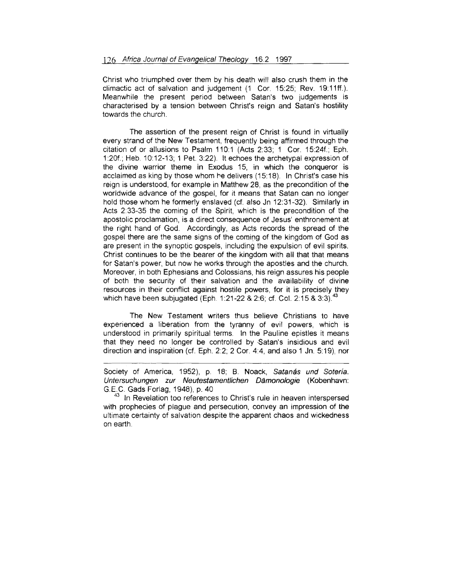Christ who triumphed over them by his death will also crush them in the climactic act of salvation and judgement (1 Cor. 15:25; Rev. 19:11ff.). Meanwhile the present period between Satan's two judgements is characterised by a tension between Christ's reign and Satan's hostility towards the church.

The assertion of the present reign of Christ is found in virtually every strand of the New Testament, frequently being affirmed through the citation of or allusions to Psalm 110:1 (Acts 2:33; 1 Cor. 15:24f.; Eph. 1:20f.; Heb. 10:12-13; 1 Pet. 3:22). lt echoes the archetypal expression of the divine warrior theme in Exodus 15, in which the conqueror is acclaimed as king by those whom he delivers (15:18). In Christ's case his reign is understood, for example in Matthew 28, as the precondition of the worldwide advance of the gospel, for it means that Satan can no longer hold those whom he formerly enslaved (cf. also Jn 12:31-32). Similarly in Acts 2:33-35 the coming of the Spirit, which is the precondition of the apostolic proclamation, is a direct consequence of Jesus' enthronement at the right hand of God. Accordingly, as Acts records the spread of the gospel there are the same signs of the coming of the kingdom of God as are present in the synoptic gospels, including the expulsion of evil spirits. Christ continues to be the bearer of the kingdom with all that that means for Satan's power, but now he works through the apostles and the church. Moreover, in both Ephesians and Colossians, his reign assures his people of both the security of their salvation and the availability of divine resources in their conflict against hostile powers, for it is precisely they which have been subjugated (Eph. 1:21-22 & 2:6; cf. Col. 2:15 & 3:3).<sup>43</sup>

The New Testament writers thus believe Christians to have experienced a liberation from the tyranny of evil powers, which is understood in primarily spiritual terms. In the Pauline epistles it means that they need no longer be controlled by ·Satan's insidious and evil direction and inspiration (cf. Eph. 2:2; 2 Cor. 4:4, and also 1 Jn. 5:19), nor

Society of America, 1952), p. 18; B. Noack, Satanás und Sotería. Untersuchungen zur Neutestamentlichen Dämonologie (Kobenhavn: G.E.C. Gads Forlag, 1948), p. 40

 $43$  In Revelation too references to Christ's rule in heaven interspersed with prophecies of plague and persecution, convey an impression of the ultimate certainty of salvation despite the apparent chaos and wickedness on earth.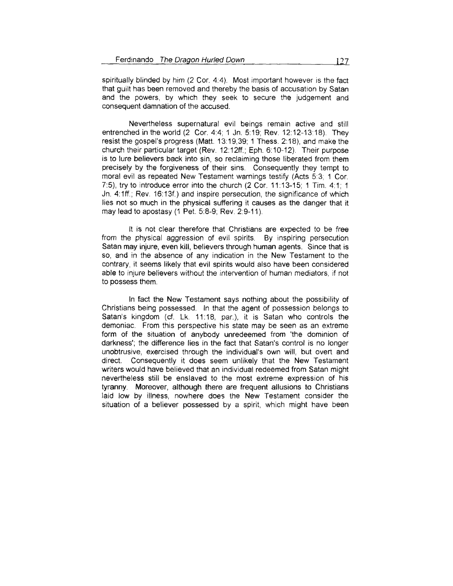spiritually blinded by him (2 Cor. 4:4). Most important however is the fact that guilt has been removed and thereby the basis of accusation by Satan and the powers, by which they seek to secure the judgement and consequent damnation of the accused.

Nevertheless supernatural evil beings remain active and still entrenched in the world (2 Cor. 4:4; 1 Jn. 5:19; Rev. 12:12-13:18). They resist the gospel's progress (Matt. 13: 19,39; 1 Thess. 2: 18), and make the church their particular target (Rev. 12:12ff.; Eph. 6:10-12). Their purpose is to lure believers back into sin, so reclaiming those liberated from them precisely by the forgiveness of their sins. Consequently they tempt to moral evil as repeated New Testament warnings testify (Acts 5:3; 1 Cor. 7:5), try to introduce error into the church (2 Cor. 11:13-15; 1 Tim. 4:1; 1 Jn. 4:1ff.; Rev. 16:13f.) and inspire persecution, the significance of which lies not so much in the physical suffering it causes as the danger that it may lead to apostasy (1 Pet. 5:8-9; Rev. 2:9-11 ).

lt is not clear therefore that Christians are expected to be free from the physical aggression of evil spirits. By inspiring persecution Satan may injure, even kill, believers through human agents. Since that is so, and in the absence of any indication in the New Testament to the contrary, it seems likely that evil spirits would also have been considered able to injure believers without the intervention of human mediators, if not to possess them.

In fact the New Testament says nothing about the possibility of Christians being possessed. In that the agent of possession belongs to Satan's kingdom (cf. Lk. 11:18, par.), it is Satan who controls the demoniac. From this perspective his state may be seen as an extreme form of the situation of anybody unredeemed from 'the dominion of darkness'; the difference lies in the fact that Satan's control is no longer unobtrusive, exercised through the individual's own will, but overt and direct. Consequently it does seem unlikely that the New Testament writers would have believed that an individual redeemed from Satan might nevertheless still be enslaved to the most extreme expression of his tyranny. Moreover, although there are frequent allusions to Christians laid low by illness, nowhere does the New Testament consider the situation of a believer possessed by a spirit, which might have been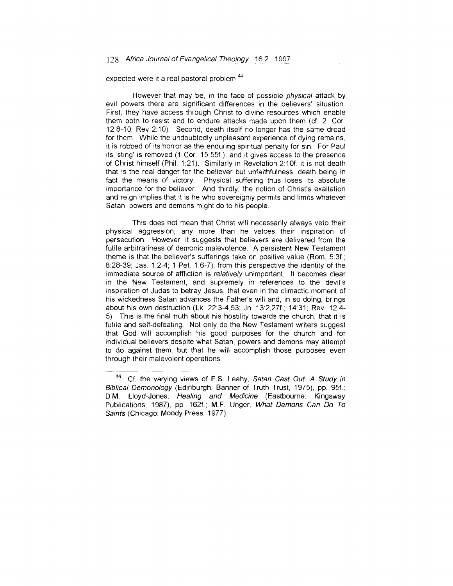expected were it a real pastoral problem.<sup>44</sup>

However that may be, in the face of possible physical attack by evil powers there are significant differences in the believers' situation. First, they have access through Christ to divine resources which enable them both to resist and to endure attacks made upon them (cf. 2 Cor. 12:8-10; Rev 210). Second, death itself no longer has the same dread for them. While the undoubtedly unpleasant experience of dying remains, it is robbed of its horror as the enduring spiritual penalty for sin. For Paul its 'sting' is removed (1 Cor. 15:55f.), and it gives access to the presence of Christ himself (Phil. 1:21). Similarly in Revelation 2:10f. it is not death that is the real danger for the believer but unfaithfulness, death being in fact the means of victory. Physical suffering thus loses its absolute importance for the believer. And thirdly, the notion of Christ's exaltation and reign implies that it is he who sovereignly permits and limits whatever Satan, powers and demons might do to his people

This does not mean that Christ will necessarily always veto their physical aggression, any more than he vetoes their inspiration of persecution. However, it suggests that believers are delivered from the futile arbitrariness of demonic malevolence. A persistent New Testament theme is that the believer's sufferings take on positive value (Rom. 5:3f.; 8:28-39; Jas. 1:2-4; 1 Pet. 1:6-7); from this perspective the identity of the immediate source of affliction is relatively unimportant. It becomes clear in the New Testament, and supremely in references to the devil's inspiration of Judas to betray Jesus, that even in the climactic moment of his wickedness Satan advances the Father's will and, in so doing, brings about his own destruction (Lk. 22:3-4,53; Jn. 13:2,27f; 14:31; Rev. 12:4- 5) This is the final truth about his hostility towards the church, that it is futile and self-defeating. Not only do the New Testament writers suggest that God will accomplish his good purposes for the church and for individual believers despite what Satan, powers and demons may attempt to do against them, but that he will accomplish those purposes even through their malevolent operations.

<sup>&</sup>lt;sup>44</sup> Cf. the varying views of F.S. Leahy, Satan Cast Out: A Study in Biblical Demonology (Edinburgh: Banner of Truth Trust, 1975), pp. 95f.; D.M. Lloyd-Jones, Healing and Medicine (Eastbourne: Kingsway Publications, 1987), pp. 162f; M.F. Unger, What Demons Can Do To Saints (Chicago: Moody Press, 1977).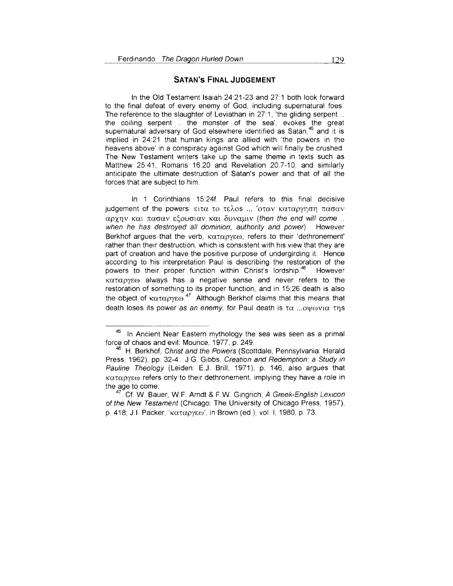### **SATAN's FINAL JUDGEMENT**

In the Old Testament Isaiah 24:21-23 and 27:1 both look forward to the final defeat of every enemy of God, including supernatural foes. The reference to the slaughter of Leviathan in 27:1, 'the gliding serpent .. the coiling serpent .. the monster of the sea', evokes the great supernatural adversary of God elsewhere identified as Satan,<sup>45</sup> and it is implied in 24:21 that human kings are allied with 'the powers in the heavens above' in a conspiracy against God which will finally be crushed The New Testament writers take up the same theme in texts such as Matthew 25:41, Romans 1620 and Revelation 207-10, and similarly anticipate the ultimate destruction of Satan's power and that of all the forces that are subject to him.

In 1 Corinthians 15:24f. Paul refers to this final decisive iudgement of the powers: ειτα το τελοs ... 'οταν καταργηση πασαν  $\alpha$ ρχην και πασαν εξουσιαν και δυναμιν (then the end will come ... when he has destroyed all dominion, authority and power). However Berkhof argues that the verb,  $\kappa \alpha \tau \alpha \rho \gamma \epsilon \omega$ , refers to their 'dethronement' rather than their destruction, which is consistent with his view that they are part of creation and have the positive purpose of undergirding it. Hence according to his interpretation Paul is describing the restoration of the powers to their proper function within Christ's lordship.<sup>46</sup> However  $\kappa\alpha\tau\alpha\rho\gamma\epsilon\omega$  always has a negative sense and never refers to the restoration of something to its proper function, and in 15:26 death is also the object of  $\kappa\alpha\tau\alpha\rho\gamma\epsilon\omega$ .<sup>47</sup> Although Berkhof claims that this means that death loses its power as an enemy, for Paul death is  $\tau\alpha$  ... owe vid  $\tau$ ns

In Ancient Near Eastern mythology the sea was seen as a primal force of chaos and evil: Mounce, 1977, p. 249. 46 H. Berkhof, Christ and the Powers (Scottdale, Pennsylvania: Herald

Press, 1962), pp. 32-4. J.G. Gibbs, Creation and Redemption: a Study in Pauline Theology (Leiden: E.J. Brill, 1971), p. 146, also argues that  $\kappa\alpha\tau\alpha\rho\gamma\epsilon\omega$  refers only to their dethronement, implying they have a role in the age to come.<br><sup>47</sup> Cf. W. Bauer, W.F. Arndt & F.W. Gingrich, A Greek-English Lexicon

of the New Testament (Chicago: The University of Chicago Press, 1957),  $p. 418$ ; J.I. Packer, 'καταργεω', in Brown (ed.), vol. I, 1980, p. 73.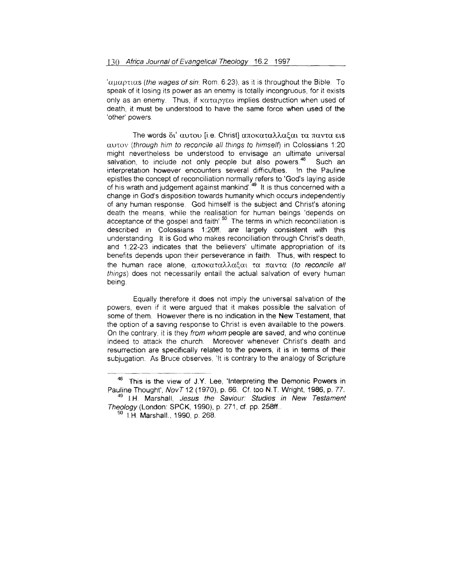' $\alpha\mu\alpha\rho\tau\mu\alpha$  (the wages of sin: Rom. 6:23), as it is throughout the Bible. To speak of it losing its power as an enemy is totally incongruous, for it exists only as an enemy. Thus, if  $\kappa\alpha\tau\alpha\rho\gamma\epsilon\omega$  implies destruction when used of death, it must be understood to have the same force when used of the 'other' powers.

The words δι' αυτου [i.e. Christ] αποκαταλλαξαι τα παντα ειs  $\alpha$ utov (through him to reconcile all things to himself) in Colossians 1:20 might nevertheless be understood to envisage an ultimate universal salvation, to include not only people but also powers.<sup>48</sup> Such an interpretation however encounters several difficulties. In the Pauline epistles the concept of reconciliation normally refers to 'God's laying aside of his wrath and judgement against mankind'.<sup>49</sup> It is thus concerned with a change in God's disposition towards humanity which occurs independently of any human response. God himself is the subject and Christ's atoning death the means, while the realisation for human beings 'depends on acceptance of the gospel and faith'.<sup>50</sup> The terms in which reconciliation is described in Colossians 1:20ff. are largely consistent with this understanding. It is God who makes reconciliation through Christ's death, and 1:22-23 indicates that the believers' ultimate appropriation of its benefits depends upon their perseverance in faith. Thus, with respect to the human race alone, αποκαταλλαξαι τα παντα (to reconcile all things) does not necessarily entail the actual salvation of every human being.

Equally therefore it does not imply the universal salvation of the powers, even if it were argued that it makes possible the salvation of some of them. However there is no indication in the New Testament, that the option of a saving response to Christ is even available to the powers On the contrary, it is they from whom people are saved, and who continue indeed to attack the church. Moreover whenever Christ's death and resurrection are specifically related to the powers, it is in terms of their subjugation. As Bruce observes, 'It is contrary to the analogy of Scripture

<sup>&</sup>lt;sup>48</sup> This is the view of J.Y. Lee, 'Interpreting the Demonic Powers in Pauline Thought', NovT 12 (1970), p. 66. Cf. too N.T. Wright, 1986, p. 77. <sup>49</sup> J.H. Marshall, Jesus the Saviour: Studies in New Testament Theology (London: SPCK, 1990), p. 271, cf. pp. 258ff..

<sup>&</sup>lt;sup>50</sup> I.H. Marshall., 1990, p. 268.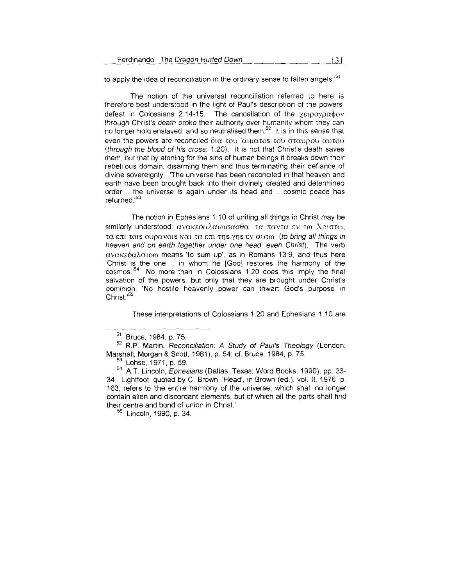to apply the idea of reconciliation in the ordinary sense to fallen angels.<sup>51</sup>

The notion of the universal reconciliation referred to here is therefore best understood in the light of Paul's description of the powers' defeat in Colossians 2:14-15. The cancellation of the  $\chi$ ειρογραφον through Christ's death broke their authority over humanity whom they can no longer hold enslaved, and so neutralised them.<sup>52</sup> It is in this sense that even the powers are reconciled  $\delta\alpha$  του 'αιματοs του σταυρου αυτου  $t$ through the blood of his cross: 1:20). It is not that Christ's death saves them, but that by atoning for the sins of human beings it breaks down their rebellious domain, disarming them and thus terminating their defiance of divine sovereignty. 'The universe has been reconciled in that heaven and earth have been brought back into their divinely created and determined order ... the universe is again under its head and ... cosmic peace has returned.'<sup>53</sup>

The notion in Ephesians 1:10 of uniting all things in Christ may be similarly understood: ανακεφαλαιωσασθαι τα παντα εν τω Χριστω, τα επι τοιs ουρανοιs και τα επι της γης εν αυτω (to bring all things in heaven and on earth together under one head, even Christ). The verb  $\alpha$ v $\alpha$ K $\epsilon$  $\phi$  $\alpha$  $\lambda$  $\alpha$  $\iota$ o $\omega$  means 'to sum up', as in Romans 13:9, and thus here 'Christ is the one .. in whom he [God] restores the harmony of the cosmos.<sup>54</sup> No more than in Colossians 1:20 does this imply the final salvation of the powers, but only that they are brought under Christ's dominion: 'No hostile heavenly power can thwart God's purpose in Christ.<sup>155</sup>

These interpretations of Colossians 1 :20 and Ephesians 1:10 are

<sup>51</sup> Bruce, 1984, p. 75.

<sup>&</sup>lt;sup>52</sup> R.P. Martin, Reconciliation: A Study of Paul's Theology (London: Marshal\, Morgan & Scott, 1981 ), p. 54; cf. Bruce, 1984, p. 75.

<sup>&</sup>lt;sup>53</sup> Lohse, 1971, p. 59.

<sup>&</sup>lt;sup>54</sup> A.T. Lincoln, *Ephesians* (Dallas, Texas: Word Books, 1990), pp. 33-34. Lightfoot, quoted by C. Brown, 'Head', in Brown (ed.), vol. 11, 1976, p 163, refers to 'the entire harmony of the universe, which shall no longer contain alien and discordant elements, but of which all the parts shall find their centre and bond of union in Christ.'

<sup>&</sup>lt;sup>55</sup> Lincoln, 1990, p. 34.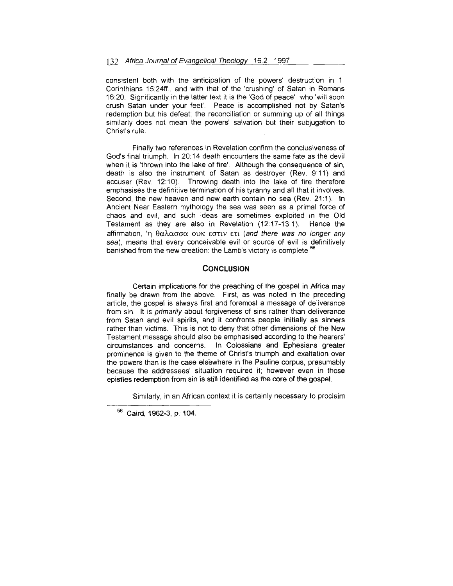consistent both with the anticipation of the powers' destruction in 1 Corinthians 15:24ff., and with that of the 'crushing' of Satan in Romans 16:20. Significantly in the latter text it is the 'God of peace' who 'will soon crush Satan under your feet'. Peace is accomplished not by Satan's redemption but his defeat; the reconciliation or summing up of all things similarly does not mean the powers' salvation but their subjugation to Christ's rule.

Finally two references in Revelation confirm the conclusiveness of God's final triumph. In 20:14 death encounters the same fate as the devil when it is 'thrown into the lake of fire'. Although the consequence of sin, death is also the instrument of Satan as destroyer (Rev. 9:11) and accuser (Rev. 12:10). Throwing death into the lake of fire therefore emphasises the definitive termination of his tyranny and all that it involves. Second, the new heaven and new earth contain no sea (Rev. 21:1). In Ancient Near Eastern mythology the sea was seen as a primal force of chaos and evil, and such ideas are sometimes exploited in the Old Testament as they are also in Revelation (12:17-13:1). Hence the affirmation, 'η θαλασσα ουκ εστιν ετι (and there was no longer any sea), means that every conceivable evil or source of evil is definitively  $\frac{1}{2}$  means that stery serveries of the cost set on the  $\frac{56}{2}$ 

### **CONCLUSION**

Certain implications for the preaching of the gospel in Africa may finally be drawn from the above. First, as was noted in the preceding article, the gospel is always first and foremost a message of deliverance from sin. It is *primarily* about forgiveness of sins rather than deliverance from Satan and evil spirits, and it confronts people initially as sinners rather than victims. This is not to deny that other dimensions of the New Testament message should also be emphasised according to the hearers' circumstances and concerns. In Colossians and Ephesians greater prominence is given to the theme of Christ's triumph and exaltation over the powers than is the case elsewhere in the Pauline corpus, presumably because the addressees' situation required it; however even in those epistles redemption from sin is still identified as the core of the gospel.

Similarly, in an African context it is certainly necessary to proclaim

<sup>56</sup> Caird, 1962-3, p. 104.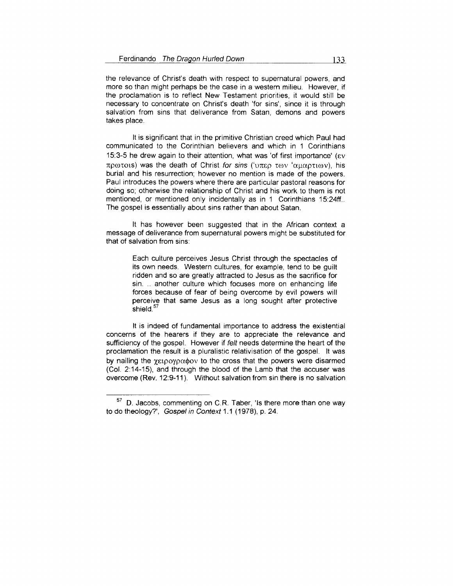the relevance of Christ's death with respect to supernatural powers, and more so than might perhaps be the case in a western milieu. However, if the proclamation is to reflect New Testament priorities, it would still be necessary to concentrate on Christ's death 'for sins', since it is through salvation from sins that deliverance from Satan, demons and powers takes place.

lt is significant that in the primitive Christian creed which Paul had communicated to the Corinthian believers and which in 1 Corinthians 15:3-5 he drew again to their attention, what was 'of first importance' ( $\epsilon v$ πρωτοιs) was the death of Christ for sins ('υπερ των 'αμαρτιων), his burial and his resurrection; however no mention is made of the powers. Paul introduces the powers where there are particular pastoral reasons for doing so; otherwise the relationship of Christ and his work to them is not mentioned, or mentioned only incidentally as in 1 Corinthians 15:24ff... The gospel is essentially about sins rather than about Satan.

lt has however been suggested that in the African context a message of deliverance from supernatural powers might be substituted for that of salvation from sins:

> Each culture perceives Jesus Christ through the spectacles of its own needs. Western cultures, for example, tend to be guilt ridden and so are greatly attracted to Jesus as the sacrifice for sin. .. another culture which focuses more on enhancing life forces because of fear of being overcome by evil powers will perceive that same Jesus as a long sought after protective .<br>shield.<sup>57</sup>

lt is indeed of fundamental importance to address the existential concerns of the hearers if they are to appreciate the relevance and sufficiency of the gospel. However if felt needs determine the heart of the proclamation the result is a pluralistic relativisation of the gospel. lt was by nailing the  $\chi_{E1}$  poyp $\alpha$  $\phi$ ov to the cross that the powers were disarmed (Col. 2:14-15), and through the blood of the Lamb that the accuser was overcome (Rev. 12:9-11 ). Without salvation from sin there is no salvation

<sup>57</sup> D. Jacobs, commenting on C.R. Taber, 'Is there more than one way to do theology?', Gospel in Context 1.1 (1978), p. 24.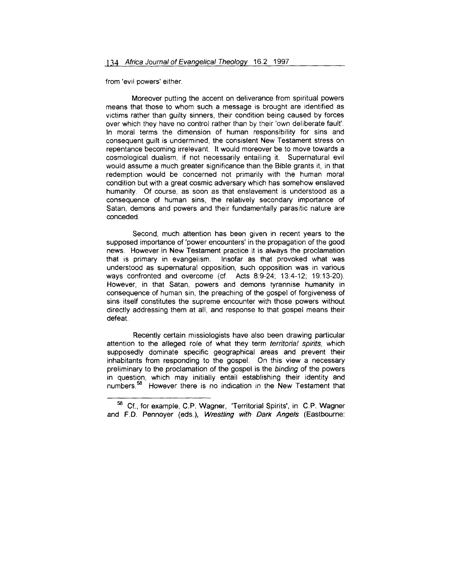from 'evil powers' either.

Moreover putting the accent on deliverance from spiritual powers means that those to whom such a message is brought are identified as victims rather than guilty sinners, their condition being caused by forces over which they have no control rather than by their 'own deliberate fault'. In moral terms the dimension of human responsibility for sins and consequent guilt is undermined, the consistent New Testament stress on repentance becoming irrelevant. lt would moreover be to move towards a cosmological dualism, if not necessarily entailing it. Supernatural evil would assume a much greater significance than the Bible grants it, in that redemption would be concerned not primarily with the human moral condition but with a great cosmic adversary which has somehow enslaved humanity. Of course, as soon as that enslavement is understood as a consequence of human sins, the relatively secondary importance of Satan, demons and powers and their fundamentally parasitic nature are conceded.

Second, much attention has been given in recent years to the supposed importance of 'power encounters' in the propagation of the good news. However in New Testament practice it is always the proclamation that is primary in evangelism. Insofar as that provoked what was understood as supernatural opposition, such opposition was in various ways confronted and overcome (cf. Acts 8:9-24; 13:4-12; 19: 13-20). However, in that Satan, powers and demons tyrannise humanity in consequence of human sin, the preaching of the gospel of forgiveness of sins itself constitutes the supreme encounter with those powers without directly addressing them at all, and response to that gospel means their defeat.

Recently certain missiologists have also been drawing particular attention to the alleged role of what they term territorial spirits, which supposedly dominate specific geographical areas and prevent their inhabitants from responding to the gospel. On this view a necessary preliminary to the proclamation of the gospel is the binding of the powers in question, which may initially entail establishing their identity and numbers.<sup>58</sup> However there is no indication in the New Testament that

<sup>58</sup> Cf., for example, C.P. Wagner, 'Territorial Spirits', in C.P. Wagner and F.D. Pennoyer (eds.), Wrestling with Dark Angels (Eastbourne: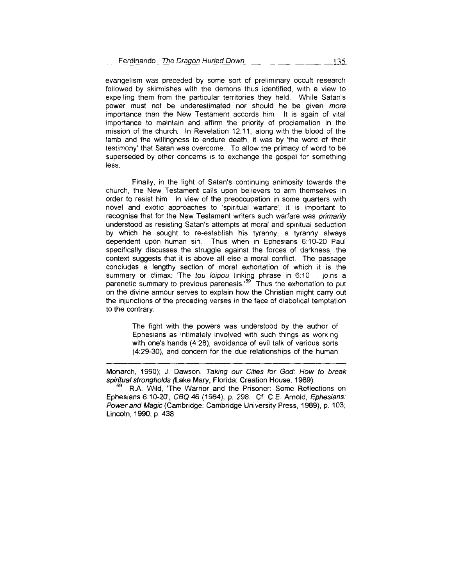evangelism was preceded by some sort of preliminary occult research followed by skirmishes with the demons thus identified, with a view to expelling them from the particular territories they held. While Satan's power must not be underestimated nor should he be given more importance than the New Testament accords him. lt is again of vital importance to maintain and affirm the priority of proclamation in the mission of the church. In Revelation 12:11 , along with the blood of the lamb and the willingness to endure death, it was by 'the word of their testimony' that Satan was overcome. To allow the primacy of word to be superseded by other concerns is to exchange the gospel for something less.

Finally, in the light of Satan's continuing animosity towards the church, the New Testament calls upon believers to arm themselves in order to resist him. In view of the preoccupation in some quarters with novel and exotic approaches to 'spiritual warfare', it is important to recognise that for the New Testament writers such warfare was primarily understood as resisting Satan's attempts at moral and spiritual seduction by which he sought to re-establish his tyranny, a tyranny always dependent upon human sin. Thus when in Ephesians 6:10-20 Paul specifically discusses the struggle against the forces of darkness, the context suggests that it is above all else a moral conflict. The passage concludes a lengthy section of moral exhortation of which it is the summary or climax: 'The tou loipou linking phrase in 6:10 .. joins a  $p_0$  of  $p_1$  comparent in the team opped mining primate in the exhortation to put on the divine armour serves to explain how the Christian might carry out the injunctions of the preceding verses in the face of diabolical temptation to the contrary:

> The fight with the powers was understood by the author of Ephesians as intimately involved with such things as working with one's hands (4:28), avoidance of evil talk of various sorts ( 4:29-30), and concern for the due relationships of the human

Monarch, 1990); J. Dawson, Taking our Cities for God: How to break spiritual strongholds (Lake Mary, Florida: Creation House, 1989).<br><sup>59</sup> R.A. Wild, 'The Warrior and the Prisoner: Some Reflections on

Ephesians 6:10-20', CBQ 46 (1984), p. 298. Cf. C.E. Arnold, Ephesians: Power and Magic (Cambridge: Cambridge University Press, 1989), p. 103; Lincoln, 1990, p. 438.